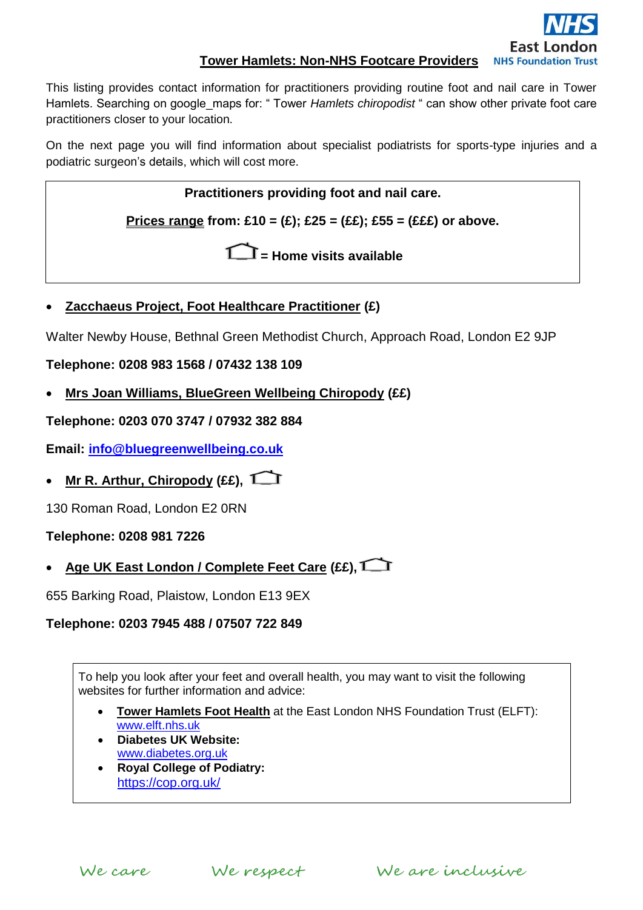

## **Tower Hamlets: Non-NHS Footcare Providers**

This listing provides contact information for practitioners providing routine foot and nail care in Tower Hamlets. Searching on google\_maps for: " Tower *Hamlets chiropodist* " can show other private foot care practitioners closer to your location.

On the next page you will find information about specialist podiatrists for sports-type injuries and a podiatric surgeon's details, which will cost more.

**Practitioners providing foot and nail care.**

**Prices range from: £10 = (£); £25 = (££); £55 = (£££) or above.**

**= Home visits available**

**Zacchaeus Project, Foot Healthcare Practitioner (£)**

Walter Newby House, Bethnal Green Methodist Church, Approach Road, London E2 9JP

**Telephone: 0208 983 1568 / 07432 138 109**

**Mrs Joan Williams, BlueGreen Wellbeing Chiropody (££)**

**Telephone: 0203 070 3747 / 07932 382 884**

**Email: [info@bluegreenwellbeing.co.uk](mailto:info@bluegreenwellbeing.co.uk)**

**Mr R. Arthur, Chiropody (££),** 

130 Roman Road, London E2 0RN

### **Telephone: 0208 981 7226**

**Age UK East London / Complete Feet Care (££),**

655 Barking Road, Plaistow, London E13 9EX

### **Telephone: 0203 7945 488 / 07507 722 849**

To help you look after your feet and overall health, you may want to visit the following websites for further information and advice:

- **Tower Hamlets Foot Health** at the East London NHS Foundation Trust (ELFT): [www.elft.nhs.uk](http://www.elft.nhs.uk/)
- **Diabetes UK Website:** [www.diabetes.org.uk](http://www.diabetes.org.uk/)
- **Royal College of Podiatry:** <https://cop.org.uk/>